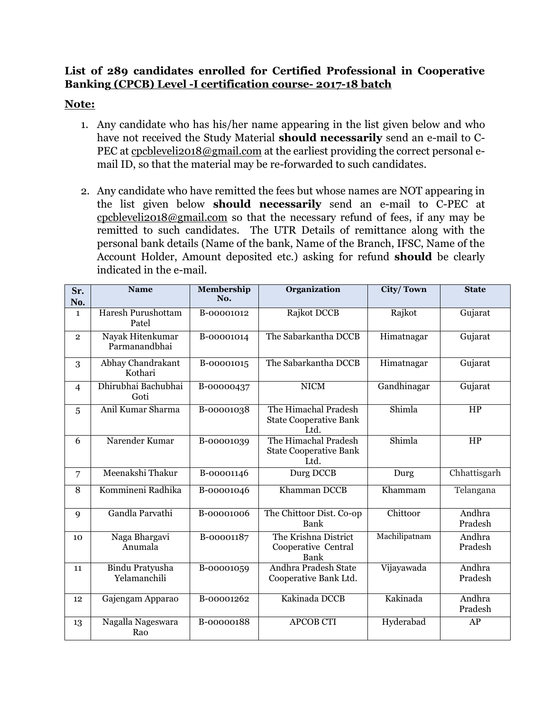## **List of 289 candidates enrolled for Certified Professional in Cooperative Banking (CPCB) Level -I certification course- 2017-18 batch**

## **Note:**

- 1. Any candidate who has his/her name appearing in the list given below and who have not received the Study Material **should necessarily** send an e-mail to C-PEC at [cpcbleveli2018@gmail.com](mailto:cpcbleveli2018@gmail.com) at the earliest providing the correct personal email ID, so that the material may be re-forwarded to such candidates.
- 2. Any candidate who have remitted the fees but whose names are NOT appearing in the list given below **should necessarily** send an e-mail to C-PEC at [cpcbleveli2018@gmail.com](mailto:cpcbleveli2018@gmail.com) so that the necessary refund of fees, if any may be remitted to such candidates. The UTR Details of remittance along with the personal bank details (Name of the bank, Name of the Branch, IFSC, Name of the Account Holder, Amount deposited etc.) asking for refund **should** be clearly indicated in the e-mail.

| Sr.<br>No.     | <b>Name</b>                            | Membership<br>No. | <b>Organization</b>                                           | <b>City/Town</b> | <b>State</b>      |
|----------------|----------------------------------------|-------------------|---------------------------------------------------------------|------------------|-------------------|
| $\mathbf{1}$   | Haresh Purushottam<br>Patel            | B-00001012        | Rajkot DCCB                                                   | Rajkot           | Gujarat           |
| $\overline{2}$ | Nayak Hitenkumar<br>Parmanandbhai      | B-00001014        | The Sabarkantha DCCB                                          | Himatnagar       | Gujarat           |
| 3              | Abhay Chandrakant<br>Kothari           | B-00001015        | The Sabarkantha DCCB                                          | Himatnagar       | Gujarat           |
| $\overline{4}$ | Dhirubhai Bachubhai<br>Goti            | B-00000437        | <b>NICM</b>                                                   | Gandhinagar      | Gujarat           |
| 5              | Anil Kumar Sharma                      | B-00001038        | The Himachal Pradesh<br><b>State Cooperative Bank</b><br>Ltd. | Shimla           | HP                |
| 6              | Narender Kumar                         | B-00001039        | The Himachal Pradesh<br><b>State Cooperative Bank</b><br>Ltd. | Shimla           | HP                |
| $\overline{7}$ | Meenakshi Thakur                       | B-00001146        | Durg DCCB                                                     | Durg             | Chhattisgarh      |
| 8              | Kommineni Radhika                      | B-00001046        | Khamman DCCB                                                  | Khammam          | Telangana         |
| 9              | Gandla Parvathi                        | B-00001006        | The Chittoor Dist. Co-op<br>Bank                              | Chittoor         | Andhra<br>Pradesh |
| 10             | Naga Bhargavi<br>Anumala               | B-00001187        | The Krishna District<br>Cooperative Central<br>Bank           | Machilipatnam    | Andhra<br>Pradesh |
| 11             | <b>Bindu Pratyusha</b><br>Yelamanchili | B-00001059        | Andhra Pradesh State<br>Cooperative Bank Ltd.                 | Vijayawada       | Andhra<br>Pradesh |
| 12             | Gajengam Apparao                       | B-00001262        | Kakinada DCCB                                                 | Kakinada         | Andhra<br>Pradesh |
| 13             | Nagalla Nageswara<br>Rao               | B-00000188        | <b>APCOB CTI</b>                                              | Hyderabad        | AP                |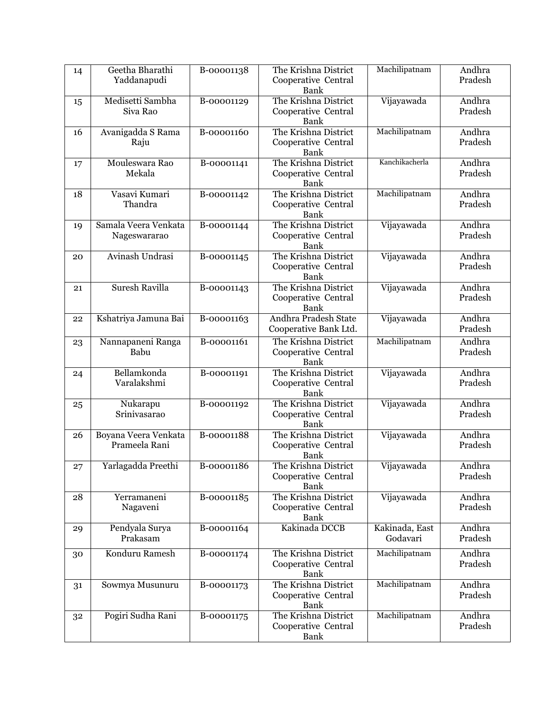| 14 | Geetha Bharathi<br>Yaddanapudi        | B-00001138 | The Krishna District<br>Cooperative Central<br>Bank        | Machilipatnam              | Andhra<br>Pradesh |
|----|---------------------------------------|------------|------------------------------------------------------------|----------------------------|-------------------|
| 15 | Medisetti Sambha<br>Siva Rao          | B-00001129 | The Krishna District<br>Cooperative Central<br>Bank        | Vijayawada                 | Andhra<br>Pradesh |
| 16 | Avanigadda S Rama<br>Raju             | B-00001160 | The Krishna District<br>Cooperative Central<br>Bank        | Machilipatnam              | Andhra<br>Pradesh |
| 17 | Mouleswara Rao<br>Mekala              | B-00001141 | The Krishna District<br>Cooperative Central<br>Bank        | Kanchikacherla             | Andhra<br>Pradesh |
| 18 | Vasavi Kumari<br>Thandra              | B-00001142 | The Krishna District<br>Cooperative Central<br>Bank        | Machilipatnam              | Andhra<br>Pradesh |
| 19 | Samala Veera Venkata<br>Nageswararao  | B-00001144 | The Krishna District<br>Cooperative Central<br>Bank        | Vijayawada                 | Andhra<br>Pradesh |
| 20 | Avinash Undrasi                       | B-00001145 | The Krishna District<br>Cooperative Central<br>Bank        | Vijayawada                 | Andhra<br>Pradesh |
| 21 | <b>Suresh Ravilla</b>                 | B-00001143 | The Krishna District<br>Cooperative Central<br>Bank        | Vijayawada                 | Andhra<br>Pradesh |
| 22 | Kshatriya Jamuna Bai                  | B-00001163 | Andhra Pradesh State<br>Cooperative Bank Ltd.              | Vijayawada                 | Andhra<br>Pradesh |
| 23 | Nannapaneni Ranga<br>Babu             | B-00001161 | The Krishna District<br>Cooperative Central<br>Bank        | Machilipatnam              | Andhra<br>Pradesh |
| 24 | Bellamkonda<br>Varalakshmi            | B-00001191 | The Krishna District<br>Cooperative Central<br>Bank        | Vijayawada                 | Andhra<br>Pradesh |
| 25 | Nukarapu<br>Srinivasarao              | B-00001192 | The Krishna District<br>Cooperative Central<br>Bank        | Vijayawada                 | Andhra<br>Pradesh |
| 26 | Boyana Veera Venkata<br>Prameela Rani | B-00001188 | The Krishna District<br>Cooperative Central<br>Bank        | Vijayawada                 | Andhra<br>Pradesh |
| 27 | Yarlagadda Preethi                    | B-00001186 | The Krishna District<br>Cooperative Central<br><b>Bank</b> | Vijayawada                 | Andhra<br>Pradesh |
| 28 | Yerramaneni<br>Nagaveni               | B-00001185 | The Krishna District<br>Cooperative Central<br>Bank        | Vijayawada                 | Andhra<br>Pradesh |
| 29 | Pendyala Surya<br>Prakasam            | B-00001164 | Kakinada DCCB                                              | Kakinada, East<br>Godavari | Andhra<br>Pradesh |
| 30 | Konduru Ramesh                        | B-00001174 | The Krishna District<br>Cooperative Central<br>Bank        | Machilipatnam              | Andhra<br>Pradesh |
| 31 | Sowmya Musunuru                       | B-00001173 | The Krishna District<br>Cooperative Central<br>Bank        | Machilipatnam              | Andhra<br>Pradesh |
| 32 | Pogiri Sudha Rani                     | B-00001175 | The Krishna District<br>Cooperative Central<br>Bank        | Machilipatnam              | Andhra<br>Pradesh |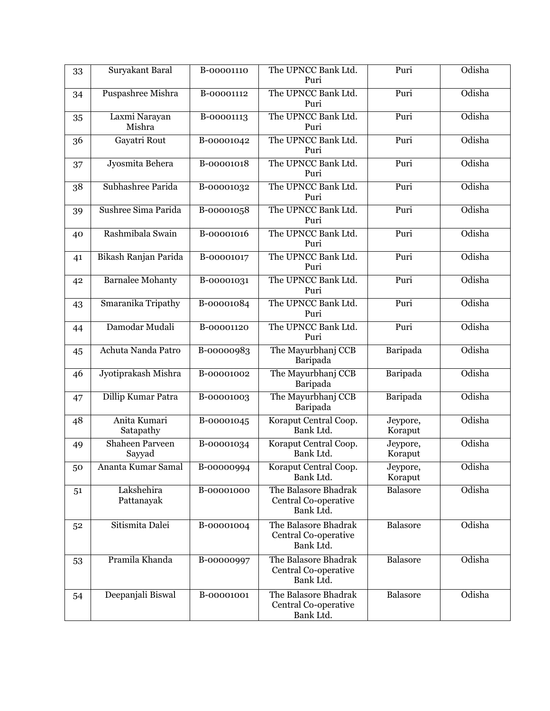| 33 | Suryakant Baral                  | B-00001110 | The UPNCC Bank Ltd.<br>Puri                               | Puri                | Odisha |
|----|----------------------------------|------------|-----------------------------------------------------------|---------------------|--------|
| 34 | Puspashree Mishra                | B-00001112 | The UPNCC Bank Ltd.<br>Puri                               | Puri                | Odisha |
| 35 | Laxmi Narayan<br>Mishra          | B-00001113 | The UPNCC Bank Ltd.<br>Puri                               | Puri                | Odisha |
| 36 | Gayatri Rout                     | B-00001042 | The UPNCC Bank Ltd.<br>Puri                               | Puri                | Odisha |
| 37 | Jyosmita Behera                  | B-00001018 | The UPNCC Bank Ltd.<br>Puri                               | Puri                | Odisha |
| 38 | Subhashree Parida                | B-00001032 | The UPNCC Bank Ltd.<br>Puri                               | Puri                | Odisha |
| 39 | Sushree Sima Parida              | B-00001058 | The UPNCC Bank Ltd.<br>Puri                               | Puri                | Odisha |
| 40 | Rashmibala Swain                 | B-00001016 | The UPNCC Bank Ltd.<br>Puri                               | Puri                | Odisha |
| 41 | Bikash Ranjan Parida             | B-00001017 | The UPNCC Bank Ltd.<br>Puri                               | Puri                | Odisha |
| 42 | <b>Barnalee Mohanty</b>          | B-00001031 | The UPNCC Bank Ltd.<br>Puri                               | Puri                | Odisha |
| 43 | Smaranika Tripathy               | B-00001084 | The UPNCC Bank Ltd.<br>Puri                               | Puri                | Odisha |
| 44 | Damodar Mudali                   | B-00001120 | The UPNCC Bank Ltd.<br>Puri                               | Puri                | Odisha |
| 45 | Achuta Nanda Patro               | B-00000983 | The Mayurbhanj CCB<br>Baripada                            | Baripada            | Odisha |
| 46 | Jyotiprakash Mishra              | B-00001002 | The Mayurbhanj CCB<br>Baripada                            | Baripada            | Odisha |
| 47 | Dillip Kumar Patra               | B-00001003 | The Mayurbhanj CCB<br>Baripada                            | Baripada            | Odisha |
| 48 | Anita Kumari<br>Satapathy        | B-00001045 | Koraput Central Coop.<br>Bank Ltd.                        | Jeypore,<br>Koraput | Odisha |
| 49 | <b>Shaheen Parveen</b><br>Sayyad | B-00001034 | Koraput Central Coop.<br>Bank Ltd.                        | Jeypore,<br>Koraput | Odisha |
| 50 | Ananta Kumar Samal               | B-00000994 | Koraput Central Coop.<br>Bank Ltd.                        | Jeypore,<br>Koraput | Odisha |
| 51 | Lakshehira<br>Pattanayak         | B-00001000 | The Balasore Bhadrak<br>Central Co-operative<br>Bank Ltd. | Balasore            | Odisha |
| 52 | Sitismita Dalei                  | B-00001004 | The Balasore Bhadrak<br>Central Co-operative<br>Bank Ltd. | Balasore            | Odisha |
| 53 | Pramila Khanda                   | B-00000997 | The Balasore Bhadrak<br>Central Co-operative<br>Bank Ltd. | Balasore            | Odisha |
| 54 | Deepanjali Biswal                | B-00001001 | The Balasore Bhadrak<br>Central Co-operative<br>Bank Ltd. | Balasore            | Odisha |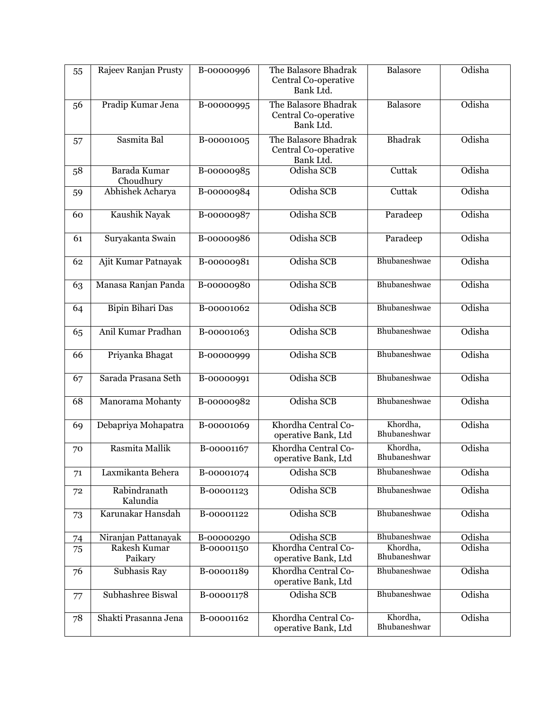| 55 | Rajeev Ranjan Prusty      | B-00000996               | The Balasore Bhadrak<br>Central Co-operative<br>Bank Ltd. | Balasore                 | Odisha |
|----|---------------------------|--------------------------|-----------------------------------------------------------|--------------------------|--------|
| 56 | Pradip Kumar Jena         | $\overline{B}$ -00000995 | The Balasore Bhadrak<br>Central Co-operative<br>Bank Ltd. | Balasore                 | Odisha |
| 57 | Sasmita Bal               | B-00001005               | The Balasore Bhadrak<br>Central Co-operative<br>Bank Ltd. | <b>Bhadrak</b>           | Odisha |
| 58 | Barada Kumar<br>Choudhury | B-00000985               | Odisha SCB                                                | Cuttak                   | Odisha |
| 59 | Abhishek Acharya          | B-00000984               | Odisha SCB                                                | Cuttak                   | Odisha |
| 60 | Kaushik Nayak             | B-00000987               | Odisha SCB                                                | Paradeep                 | Odisha |
| 61 | Suryakanta Swain          | B-00000986               | Odisha SCB                                                | Paradeep                 | Odisha |
| 62 | Ajit Kumar Patnayak       | B-00000981               | Odisha SCB                                                | Bhubaneshwae             | Odisha |
| 63 | Manasa Ranjan Panda       | B-00000980               | Odisha SCB                                                | Bhubaneshwae             | Odisha |
| 64 | <b>Bipin Bihari Das</b>   | B-00001062               | Odisha SCB                                                | Bhubaneshwae             | Odisha |
| 65 | Anil Kumar Pradhan        | B-00001063               | Odisha SCB                                                | Bhubaneshwae             | Odisha |
| 66 | Priyanka Bhagat           | B-00000999               | Odisha SCB                                                | Bhubaneshwae             | Odisha |
| 67 | Sarada Prasana Seth       | B-00000991               | Odisha SCB                                                | Bhubaneshwae             | Odisha |
| 68 | Manorama Mohanty          | B-00000982               | Odisha SCB                                                | Bhubaneshwae             | Odisha |
| 69 | Debapriya Mohapatra       | B-00001069               | Khordha Central Co-<br>operative Bank, Ltd                | Khordha,<br>Bhubaneshwar | Odisha |
| 70 | Rasmita Mallik            | B-00001167               | Khordha Central Co-<br>operative Bank, Ltd                | Khordha,<br>Bhubaneshwar | Odisha |
| 71 | Laxmikanta Behera         | B-00001074               | Odisha SCB                                                | Bhubaneshwae             | Odisha |
| 72 | Rabindranath<br>Kalundia  | B-00001123               | Odisha SCB                                                | Bhubaneshwae             | Odisha |
| 73 | Karunakar Hansdah         | B-00001122               | Odisha SCB                                                | Bhubaneshwae             | Odisha |
| 74 | Niranjan Pattanayak       | B-00000290               | Odisha SCB                                                | Bhubaneshwae             | Odisha |
| 75 | Rakesh Kumar<br>Paikary   | B-00001150               | Khordha Central Co-<br>operative Bank, Ltd                | Khordha,<br>Bhubaneshwar | Odisha |
| 76 | Subhasis Ray              | B-00001189               | Khordha Central Co-<br>operative Bank, Ltd                | Bhubaneshwae             | Odisha |
| 77 | Subhashree Biswal         | B-00001178               | Odisha SCB                                                | Bhubaneshwae             | Odisha |
| 78 | Shakti Prasanna Jena      | B-00001162               | Khordha Central Co-<br>operative Bank, Ltd                | Khordha,<br>Bhubaneshwar | Odisha |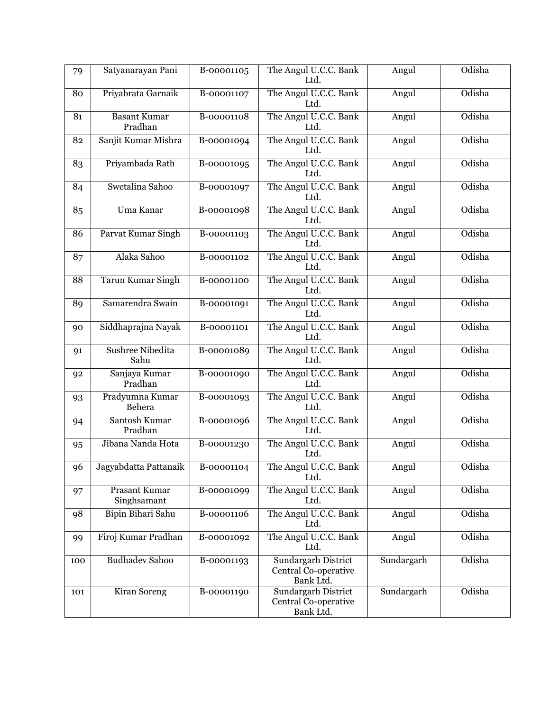| 79    | Satyanarayan Pani                   | B-00001105 | The Angul U.C.C. Bank<br>Ltd.                            | Angul      | Odisha |
|-------|-------------------------------------|------------|----------------------------------------------------------|------------|--------|
| 80    | Priyabrata Garnaik                  | B-00001107 | The Angul U.C.C. Bank<br>Ltd.                            | Angul      | Odisha |
| 81    | <b>Basant Kumar</b><br>Pradhan      | B-00001108 | The Angul U.C.C. Bank<br>Ltd.                            | Angul      | Odisha |
| 82    | Sanjit Kumar Mishra                 | B-00001094 | The Angul U.C.C. Bank<br>Ltd.                            | Angul      | Odisha |
| 83    | Priyambada Rath                     | B-00001095 | The Angul U.C.C. Bank<br>Ltd.                            | Angul      | Odisha |
| 84    | Swetalina Sahoo                     | B-00001097 | The Angul U.C.C. Bank<br>Ltd.                            | Angul      | Odisha |
| 85    | Uma Kanar                           | B-00001098 | The Angul U.C.C. Bank<br>Ltd.                            | Angul      | Odisha |
| 86    | Parvat Kumar Singh                  | B-00001103 | The Angul U.C.C. Bank<br>Ltd.                            | Angul      | Odisha |
| 87    | Alaka Sahoo                         | B-00001102 | The Angul U.C.C. Bank<br>Ltd.                            | Angul      | Odisha |
| 88    | <b>Tarun Kumar Singh</b>            | B-00001100 | The Angul U.C.C. Bank<br>Ltd.                            | Angul      | Odisha |
| 89    | Samarendra Swain                    | B-00001091 | The Angul U.C.C. Bank<br>Ltd.                            | Angul      | Odisha |
| 90    | Siddhaprajna Nayak                  | B-00001101 | The Angul U.C.C. Bank<br>Ltd.                            | Angul      | Odisha |
| 91    | <b>Sushree Nibedita</b><br>Sahu     | B-00001089 | The Angul U.C.C. Bank<br>Ltd.                            | Angul      | Odisha |
| 92    | Sanjaya Kumar<br>Pradhan            | B-00001090 | The Angul U.C.C. Bank<br>Ltd.                            | Angul      | Odisha |
| 93    | Pradyumna Kumar<br>Behera           | B-00001093 | The Angul U.C.C. Bank<br>Ltd.                            | Angul      | Odisha |
| 94    | Santosh Kumar<br>Pradhan            | B-00001096 | The Angul U.C.C. Bank<br>Ltd.                            | Angul      | Odisha |
| 95    | Jibana Nanda Hota                   | B-00001230 | The Angul U.C.C. Bank<br>Ltd.                            | Angul      | Odisha |
| $96-$ | Jagyabdatta Pattanaik               | B-00001104 | The Angul U.C.C. Bank<br>Ltd.                            | Angul      | Odisha |
| 97    | <b>Prasant Kumar</b><br>Singhsamant | B-00001099 | The Angul U.C.C. Bank<br>Ltd.                            | Angul      | Odisha |
| 98    | Bipin Bihari Sahu                   | B-00001106 | The Angul U.C.C. Bank<br>Ltd.                            | Angul      | Odisha |
| 99    | Firoj Kumar Pradhan                 | B-00001092 | The Angul U.C.C. Bank<br>Ltd.                            | Angul      | Odisha |
| 100   | <b>Budhadev Sahoo</b>               | B-00001193 | Sundargarh District<br>Central Co-operative<br>Bank Ltd. | Sundargarh | Odisha |
| 101   | Kiran Soreng                        | B-00001190 | Sundargarh District<br>Central Co-operative<br>Bank Ltd. | Sundargarh | Odisha |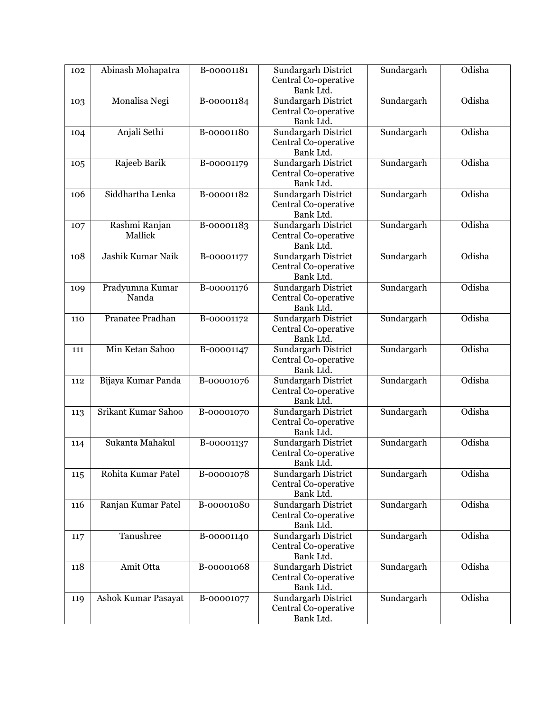| 102 | Abinash Mohapatra        | B-00001181 | Sundargarh District<br>Central Co-operative<br>Bank Ltd.        | Sundargarh | Odisha |
|-----|--------------------------|------------|-----------------------------------------------------------------|------------|--------|
| 103 | Monalisa Negi            | B-00001184 | <b>Sundargarh District</b><br>Central Co-operative<br>Bank Ltd. | Sundargarh | Odisha |
| 104 | Anjali Sethi             | B-00001180 | Sundargarh District<br>Central Co-operative<br>Bank Ltd.        | Sundargarh | Odisha |
| 105 | Rajeeb Barik             | B-00001179 | Sundargarh District<br>Central Co-operative<br>Bank Ltd.        | Sundargarh | Odisha |
| 106 | Siddhartha Lenka         | B-00001182 | <b>Sundargarh District</b><br>Central Co-operative<br>Bank Ltd. | Sundargarh | Odisha |
| 107 | Rashmi Ranjan<br>Mallick | B-00001183 | <b>Sundargarh District</b><br>Central Co-operative<br>Bank Ltd. | Sundargarh | Odisha |
| 108 | Jashik Kumar Naik        | B-00001177 | Sundargarh District<br>Central Co-operative<br>Bank Ltd.        | Sundargarh | Odisha |
| 109 | Pradyumna Kumar<br>Nanda | B-00001176 | Sundargarh District<br>Central Co-operative<br>Bank Ltd.        | Sundargarh | Odisha |
| 110 | <b>Pranatee Pradhan</b>  | B-00001172 | <b>Sundargarh District</b><br>Central Co-operative<br>Bank Ltd. | Sundargarh | Odisha |
| 111 | Min Ketan Sahoo          | B-00001147 | Sundargarh District<br>Central Co-operative<br>Bank Ltd.        | Sundargarh | Odisha |
| 112 | Bijaya Kumar Panda       | B-00001076 | Sundargarh District<br>Central Co-operative<br>Bank Ltd.        | Sundargarh | Odisha |
| 113 | Srikant Kumar Sahoo      | B-00001070 | Sundargarh District<br>Central Co-operative<br>Bank Ltd.        | Sundargarh | Odisha |
| 114 | Sukanta Mahakul          | B-00001137 | <b>Sundargarh District</b><br>Central Co-operative<br>Bank Ltd. | Sundargarh | Odisha |
| 115 | Rohita Kumar Patel       | B-00001078 | Sundargarh District<br>Central Co-operative<br>Bank Ltd.        | Sundargarh | Odisha |
| 116 | Ranjan Kumar Patel       | B-00001080 | Sundargarh District<br>Central Co-operative<br>Bank Ltd.        | Sundargarh | Odisha |
| 117 | Tanushree                | B-00001140 | Sundargarh District<br>Central Co-operative<br>Bank Ltd.        | Sundargarh | Odisha |
| 118 | Amit Otta                | B-00001068 | Sundargarh District<br>Central Co-operative<br>Bank Ltd.        | Sundargarh | Odisha |
| 119 | Ashok Kumar Pasayat      | B-00001077 | Sundargarh District<br>Central Co-operative<br>Bank Ltd.        | Sundargarh | Odisha |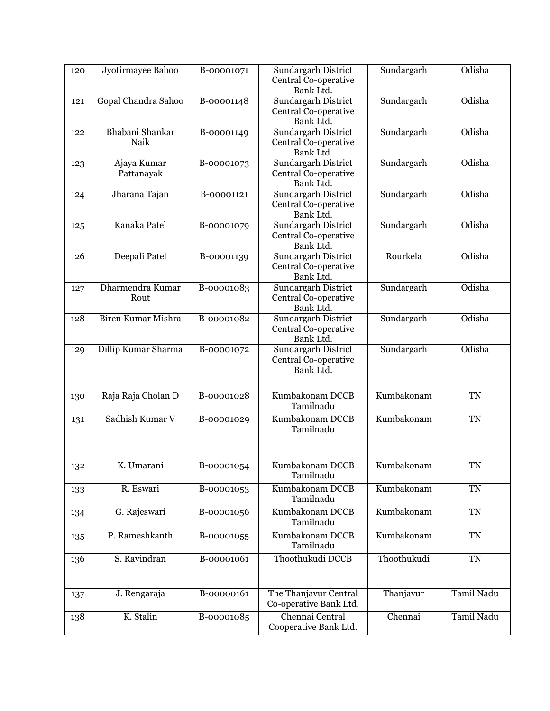| 120 | Jyotirmayee Baboo         | B-00001071 | Sundargarh District<br>Central Co-operative<br>Bank Ltd.        | Sundargarh  | Odisha     |
|-----|---------------------------|------------|-----------------------------------------------------------------|-------------|------------|
| 121 | Gopal Chandra Sahoo       | B-00001148 | Sundargarh District<br>Central Co-operative<br>Bank Ltd.        | Sundargarh  | Odisha     |
| 122 | Bhabani Shankar<br>Naik   | B-00001149 | Sundargarh District<br>Central Co-operative<br>Bank Ltd.        | Sundargarh  | Odisha     |
| 123 | Ajaya Kumar<br>Pattanayak | B-00001073 | <b>Sundargarh District</b><br>Central Co-operative<br>Bank Ltd. | Sundargarh  | Odisha     |
| 124 | Jharana Tajan             | B-00001121 | <b>Sundargarh District</b><br>Central Co-operative<br>Bank Ltd. | Sundargarh  | Odisha     |
| 125 | Kanaka Patel              | B-00001079 | <b>Sundargarh District</b><br>Central Co-operative<br>Bank Ltd. | Sundargarh  | Odisha     |
| 126 | Deepali Patel             | B-00001139 | Sundargarh District<br>Central Co-operative<br>Bank Ltd.        | Rourkela    | Odisha     |
| 127 | Dharmendra Kumar<br>Rout  | B-00001083 | <b>Sundargarh District</b><br>Central Co-operative<br>Bank Ltd. | Sundargarh  | Odisha     |
| 128 | <b>Biren Kumar Mishra</b> | B-00001082 | Sundargarh District<br>Central Co-operative<br>Bank Ltd.        | Sundargarh  | Odisha     |
| 129 | Dillip Kumar Sharma       | B-00001072 | Sundargarh District<br>Central Co-operative<br>Bank Ltd.        | Sundargarh  | Odisha     |
| 130 | Raja Raja Cholan D        | B-00001028 | Kumbakonam DCCB<br>Tamilnadu                                    | Kumbakonam  | <b>TN</b>  |
| 131 | Sadhish Kumar V           | B-00001029 | Kumbakonam DCCB<br>Tamilnadu                                    | Kumbakonam  | <b>TN</b>  |
| 132 | K. Umarani                | B-00001054 | Kumbakonam DCCB<br>Tamilnadu                                    | Kumbakonam  | TN         |
| 133 | R. Eswari                 | B-00001053 | Kumbakonam DCCB<br>Tamilnadu                                    | Kumbakonam  | <b>TN</b>  |
| 134 | G. Rajeswari              | B-00001056 | Kumbakonam DCCB<br>Tamilnadu                                    | Kumbakonam  | $\rm TN$   |
| 135 | P. Rameshkanth            | B-00001055 | Kumbakonam DCCB<br>Tamilnadu                                    | Kumbakonam  | <b>TN</b>  |
| 136 | S. Ravindran              | B-00001061 | Thoothukudi DCCB                                                | Thoothukudi | <b>TN</b>  |
| 137 | J. Rengaraja              | B-00000161 | The Thanjavur Central<br>Co-operative Bank Ltd.                 | Thanjavur   | Tamil Nadu |
| 138 | K. Stalin                 | B-00001085 | Chennai Central<br>Cooperative Bank Ltd.                        | Chennai     | Tamil Nadu |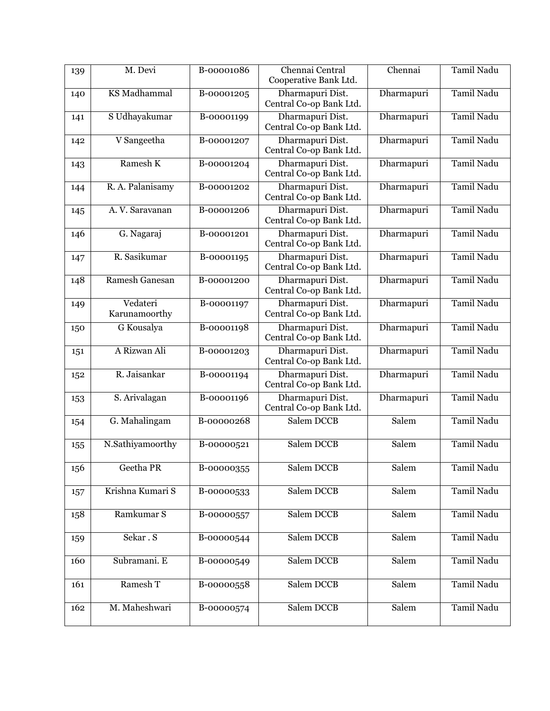| 139 | M. Devi                   | B-00001086 | Chennai Central<br>Cooperative Bank Ltd.    | Chennai    | <b>Tamil Nadu</b> |
|-----|---------------------------|------------|---------------------------------------------|------------|-------------------|
| 140 | <b>KS</b> Madhammal       | B-00001205 | Dharmapuri Dist.<br>Central Co-op Bank Ltd. | Dharmapuri | <b>Tamil Nadu</b> |
| 141 | S Udhayakumar             | B-00001199 | Dharmapuri Dist.<br>Central Co-op Bank Ltd. | Dharmapuri | Tamil Nadu        |
| 142 | V Sangeetha               | B-00001207 | Dharmapuri Dist.<br>Central Co-op Bank Ltd. | Dharmapuri | <b>Tamil Nadu</b> |
| 143 | Ramesh K                  | B-00001204 | Dharmapuri Dist.<br>Central Co-op Bank Ltd. | Dharmapuri | <b>Tamil Nadu</b> |
| 144 | R. A. Palanisamy          | B-00001202 | Dharmapuri Dist.<br>Central Co-op Bank Ltd. | Dharmapuri | Tamil Nadu        |
| 145 | A. V. Saravanan           | B-00001206 | Dharmapuri Dist.<br>Central Co-op Bank Ltd. | Dharmapuri | <b>Tamil Nadu</b> |
| 146 | G. Nagaraj                | B-00001201 | Dharmapuri Dist.<br>Central Co-op Bank Ltd. | Dharmapuri | <b>Tamil Nadu</b> |
| 147 | R. Sasikumar              | B-00001195 | Dharmapuri Dist.<br>Central Co-op Bank Ltd. | Dharmapuri | Tamil Nadu        |
| 148 | <b>Ramesh Ganesan</b>     | B-00001200 | Dharmapuri Dist.<br>Central Co-op Bank Ltd. | Dharmapuri | <b>Tamil Nadu</b> |
| 149 | Vedateri<br>Karunamoorthy | B-00001197 | Dharmapuri Dist.<br>Central Co-op Bank Ltd. | Dharmapuri | Tamil Nadu        |
| 150 | G Kousalya                | B-00001198 | Dharmapuri Dist.<br>Central Co-op Bank Ltd. | Dharmapuri | <b>Tamil Nadu</b> |
| 151 | A Rizwan Ali              | B-00001203 | Dharmapuri Dist.<br>Central Co-op Bank Ltd. | Dharmapuri | <b>Tamil Nadu</b> |
| 152 | R. Jaisankar              | B-00001194 | Dharmapuri Dist.<br>Central Co-op Bank Ltd. | Dharmapuri | Tamil Nadu        |
| 153 | S. Arivalagan             | B-00001196 | Dharmapuri Dist.<br>Central Co-op Bank Ltd. | Dharmapuri | <b>Tamil Nadu</b> |
| 154 | G. Mahalingam             | B-00000268 | Salem DCCB                                  | Salem      | <b>Tamil Nadu</b> |
| 155 | N.Sathiyamoorthy          | B-00000521 | Salem DCCB                                  | Salem      | <b>Tamil Nadu</b> |
| 156 | Geetha PR                 | B-00000355 | Salem DCCB                                  | Salem      | Tamil Nadu        |
| 157 | Krishna Kumari S          | B-00000533 | Salem DCCB                                  | Salem      | <b>Tamil Nadu</b> |
| 158 | Ramkumar S                | B-00000557 | Salem DCCB                                  | Salem      | Tamil Nadu        |
| 159 | Sekar. S                  | B-00000544 | Salem DCCB                                  | Salem      | Tamil Nadu        |
| 160 | Subramani. E              | B-00000549 | Salem DCCB                                  | Salem      | Tamil Nadu        |
| 161 | Ramesh T                  | B-00000558 | Salem DCCB                                  | Salem      | Tamil Nadu        |
| 162 | M. Maheshwari             | B-00000574 | Salem DCCB                                  | Salem      | Tamil Nadu        |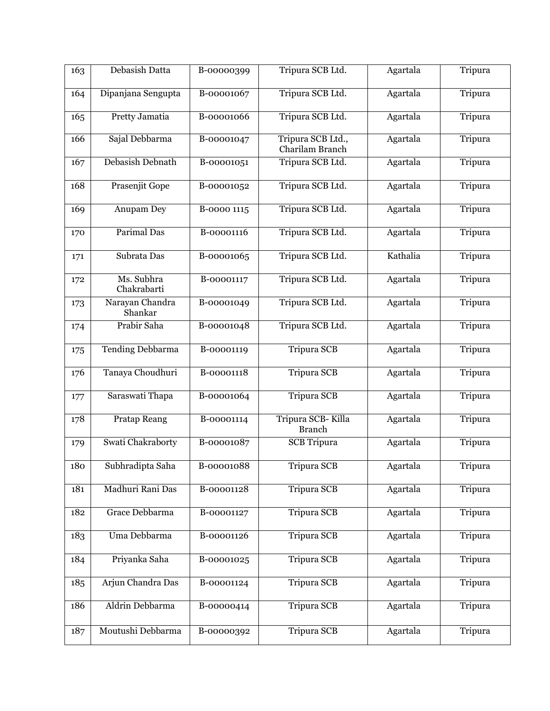| 163 | Debasish Datta             | B-00000399  | Tripura SCB Ltd.                     | Agartala | Tripura |
|-----|----------------------------|-------------|--------------------------------------|----------|---------|
|     |                            | B-00001067  |                                      |          |         |
| 164 | Dipanjana Sengupta         |             | Tripura SCB Ltd.                     | Agartala | Tripura |
| 165 | Pretty Jamatia             | B-00001066  | Tripura SCB Ltd.                     | Agartala | Tripura |
| 166 | Sajal Debbarma             | B-00001047  | Tripura SCB Ltd.,<br>Charilam Branch | Agartala | Tripura |
| 167 | Debasish Debnath           | B-00001051  | Tripura SCB Ltd.                     | Agartala | Tripura |
| 168 | Prasenjit Gope             | B-00001052  | Tripura SCB Ltd.                     | Agartala | Tripura |
| 169 | Anupam Dey                 | B-0000 1115 | Tripura SCB Ltd.                     | Agartala | Tripura |
| 170 | Parimal Das                | B-00001116  | Tripura SCB Ltd.                     | Agartala | Tripura |
| 171 | Subrata Das                | B-00001065  | Tripura SCB Ltd.                     | Kathalia | Tripura |
| 172 | Ms. Subhra<br>Chakrabarti  | B-00001117  | Tripura SCB Ltd.                     | Agartala | Tripura |
| 173 | Narayan Chandra<br>Shankar | B-00001049  | Tripura SCB Ltd.                     | Agartala | Tripura |
| 174 | Prabir Saha                | B-00001048  | Tripura SCB Ltd.                     | Agartala | Tripura |
| 175 | <b>Tending Debbarma</b>    | B-00001119  | <b>Tripura SCB</b>                   | Agartala | Tripura |
| 176 | Tanaya Choudhuri           | B-00001118  | <b>Tripura SCB</b>                   | Agartala | Tripura |
| 177 | Saraswati Thapa            | B-00001064  | <b>Tripura SCB</b>                   | Agartala | Tripura |
| 178 | <b>Pratap Reang</b>        | B-00001114  | Tripura SCB-Killa<br><b>Branch</b>   | Agartala | Tripura |
| 179 | Swati Chakraborty          | B-00001087  | <b>SCB</b> Tripura                   | Agartala | Tripura |
| 180 | Subhradipta Saha           | B-00001088  | Tripura SCB                          | Agartala | Tripura |
| 181 | Madhuri Rani Das           | B-00001128  | <b>Tripura SCB</b>                   | Agartala | Tripura |
| 182 | Grace Debbarma             | B-00001127  | <b>Tripura SCB</b>                   | Agartala | Tripura |
| 183 | Uma Debbarma               | B-00001126  | Tripura SCB                          | Agartala | Tripura |
| 184 | Priyanka Saha              | B-00001025  | <b>Tripura SCB</b>                   | Agartala | Tripura |
| 185 | Arjun Chandra Das          | B-00001124  | <b>Tripura SCB</b>                   | Agartala | Tripura |
| 186 | Aldrin Debbarma            | B-00000414  | <b>Tripura SCB</b>                   | Agartala | Tripura |
| 187 | Moutushi Debbarma          | B-00000392  | Tripura SCB                          | Agartala | Tripura |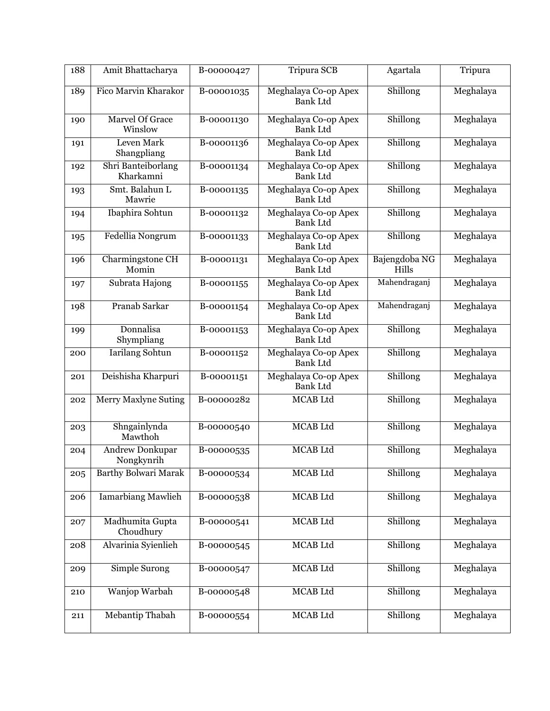| 188 | Amit Bhattacharya                    | B-00000427 | Tripura SCB                             | Agartala               | Tripura   |
|-----|--------------------------------------|------------|-----------------------------------------|------------------------|-----------|
| 189 | Fico Marvin Kharakor                 | B-00001035 | Meghalaya Co-op Apex<br><b>Bank Ltd</b> | Shillong               | Meghalaya |
| 190 | Marvel Of Grace<br>Winslow           | B-00001130 | Meghalaya Co-op Apex<br><b>Bank Ltd</b> | Shillong               | Meghalaya |
| 191 | Leven Mark<br>Shangpliang            | B-00001136 | Meghalaya Co-op Apex<br><b>Bank Ltd</b> | Shillong               | Meghalaya |
| 192 | Shri Banteiborlang<br>Kharkamni      | B-00001134 | Meghalaya Co-op Apex<br><b>Bank Ltd</b> | Shillong               | Meghalaya |
| 193 | Smt. Balahun L<br>Mawrie             | B-00001135 | Meghalaya Co-op Apex<br><b>Bank Ltd</b> | Shillong               | Meghalaya |
| 194 | Ibaphira Sohtun                      | B-00001132 | Meghalaya Co-op Apex<br><b>Bank Ltd</b> | Shillong               | Meghalaya |
| 195 | Fedellia Nongrum                     | B-00001133 | Meghalaya Co-op Apex<br><b>Bank Ltd</b> | Shillong               | Meghalaya |
| 196 | Charmingstone CH<br>Momin            | B-00001131 | Meghalaya Co-op Apex<br><b>Bank Ltd</b> | Bajengdoba NG<br>Hills | Meghalaya |
| 197 | Subrata Hajong                       | B-00001155 | Meghalaya Co-op Apex<br><b>Bank Ltd</b> | Mahendraganj           | Meghalaya |
| 198 | Pranab Sarkar                        | B-00001154 | Meghalaya Co-op Apex<br><b>Bank Ltd</b> | Mahendraganj           | Meghalaya |
| 199 | Donnalisa<br>Shympliang              | B-00001153 | Meghalaya Co-op Apex<br><b>Bank Ltd</b> | Shillong               | Meghalaya |
| 200 | Iarilang Sohtun                      | B-00001152 | Meghalaya Co-op Apex<br><b>Bank Ltd</b> | Shillong               | Meghalaya |
| 201 | Deishisha Kharpuri                   | B-00001151 | Meghalaya Co-op Apex<br><b>Bank Ltd</b> | Shillong               | Meghalaya |
| 202 | <b>Merry Maxlyne Suting</b>          | B-00000282 | MCAB Ltd                                | Shillong               | Meghalaya |
| 203 | Shngainlynda<br>Mawthoh              | B-00000540 | <b>MCAB</b> Ltd                         | Shillong               | Meghalaya |
| 204 | <b>Andrew Donkupar</b><br>Nongkynrih | B-00000535 | MCAB Ltd                                | Shillong               | Meghalaya |
| 205 | <b>Barthy Bolwari Marak</b>          | B-00000534 | MCAB Ltd                                | Shillong               | Meghalaya |
| 206 | <b>Iamarbiang Mawlieh</b>            | B-00000538 | <b>MCAB</b> Ltd                         | Shillong               | Meghalaya |
| 207 | Madhumita Gupta<br>Choudhury         | B-00000541 | <b>MCAB</b> Ltd                         | Shillong               | Meghalaya |
| 208 | Alvarinia Syienlieh                  | B-00000545 | MCAB Ltd                                | Shillong               | Meghalaya |
| 209 | Simple Surong                        | B-00000547 | MCAB Ltd                                | Shillong               | Meghalaya |
| 210 | <b>Wanjop Warbah</b>                 | B-00000548 | MCAB Ltd                                | Shillong               | Meghalaya |
| 211 | Mebantip Thabah                      | B-00000554 | MCAB Ltd                                | Shillong               | Meghalaya |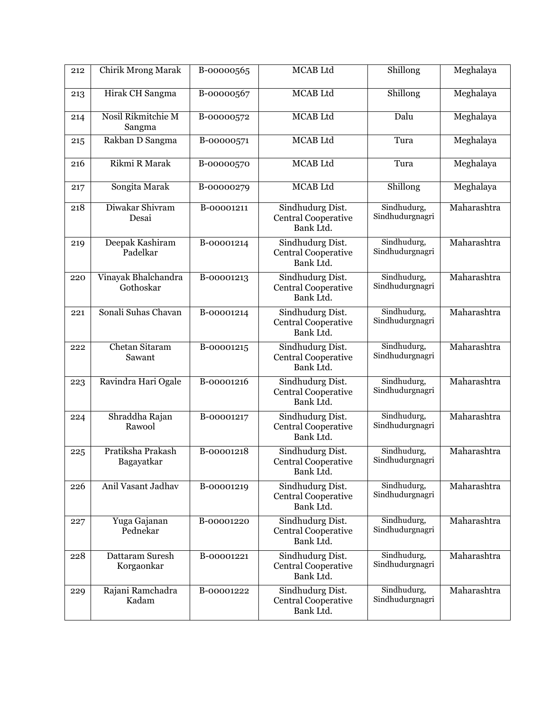| 212 | <b>Chirik Mrong Marak</b>        | B-00000565 | <b>MCAB</b> Ltd                                             | Shillong                       | Meghalaya   |
|-----|----------------------------------|------------|-------------------------------------------------------------|--------------------------------|-------------|
| 213 | Hirak CH Sangma                  | B-00000567 | <b>MCAB</b> Ltd                                             | Shillong                       | Meghalaya   |
| 214 | Nosil Rikmitchie M<br>Sangma     | B-00000572 | MCAB Ltd                                                    | Dalu                           | Meghalaya   |
| 215 | Rakban D Sangma                  | B-00000571 | <b>MCAB</b> Ltd                                             | Tura                           | Meghalaya   |
| 216 | Rikmi R Marak                    | B-00000570 | MCAB Ltd                                                    | Tura                           | Meghalaya   |
| 217 | Songita Marak                    | B-00000279 | MCAB Ltd                                                    | Shillong                       | Meghalaya   |
| 218 | Diwakar Shivram<br>Desai         | B-00001211 | Sindhudurg Dist.<br>Central Cooperative<br>Bank Ltd.        | Sindhudurg,<br>Sindhudurgnagri | Maharashtra |
| 219 | Deepak Kashiram<br>Padelkar      | B-00001214 | Sindhudurg Dist.<br>Central Cooperative<br>Bank Ltd.        | Sindhudurg,<br>Sindhudurgnagri | Maharashtra |
| 220 | Vinayak Bhalchandra<br>Gothoskar | B-00001213 | Sindhudurg Dist.<br>Central Cooperative<br>Bank Ltd.        | Sindhudurg,<br>Sindhudurgnagri | Maharashtra |
| 221 | Sonali Suhas Chavan              | B-00001214 | Sindhudurg Dist.<br><b>Central Cooperative</b><br>Bank Ltd. | Sindhudurg,<br>Sindhudurgnagri | Maharashtra |
| 222 | <b>Chetan Sitaram</b><br>Sawant  | B-00001215 | Sindhudurg Dist.<br><b>Central Cooperative</b><br>Bank Ltd. | Sindhudurg,<br>Sindhudurgnagri | Maharashtra |
| 223 | Ravindra Hari Ogale              | B-00001216 | Sindhudurg Dist.<br>Central Cooperative<br>Bank Ltd.        | Sindhudurg,<br>Sindhudurgnagri | Maharashtra |
| 224 | Shraddha Rajan<br>Rawool         | B-00001217 | Sindhudurg Dist.<br>Central Cooperative<br>Bank Ltd.        | Sindhudurg,<br>Sindhudurgnagri | Maharashtra |
| 225 | Pratiksha Prakash<br>Bagayatkar  | B-00001218 | Sindhudurg Dist.<br><b>Central Cooperative</b><br>Bank Ltd. | Sindhudurg,<br>Sindhudurgnagri | Maharashtra |
| 226 | Anil Vasant Jadhav               | B-00001219 | Sindhudurg Dist.<br><b>Central Cooperative</b><br>Bank Ltd. | Sindhudurg,<br>Sindhudurgnagri | Maharashtra |
| 227 | Yuga Gajanan<br>Pednekar         | B-00001220 | Sindhudurg Dist.<br><b>Central Cooperative</b><br>Bank Ltd. | Sindhudurg,<br>Sindhudurgnagri | Maharashtra |
| 228 | Dattaram Suresh<br>Korgaonkar    | B-00001221 | Sindhudurg Dist.<br>Central Cooperative<br>Bank Ltd.        | Sindhudurg,<br>Sindhudurgnagri | Maharashtra |
| 229 | Rajani Ramchadra<br>Kadam        | B-00001222 | Sindhudurg Dist.<br><b>Central Cooperative</b><br>Bank Ltd. | Sindhudurg,<br>Sindhudurgnagri | Maharashtra |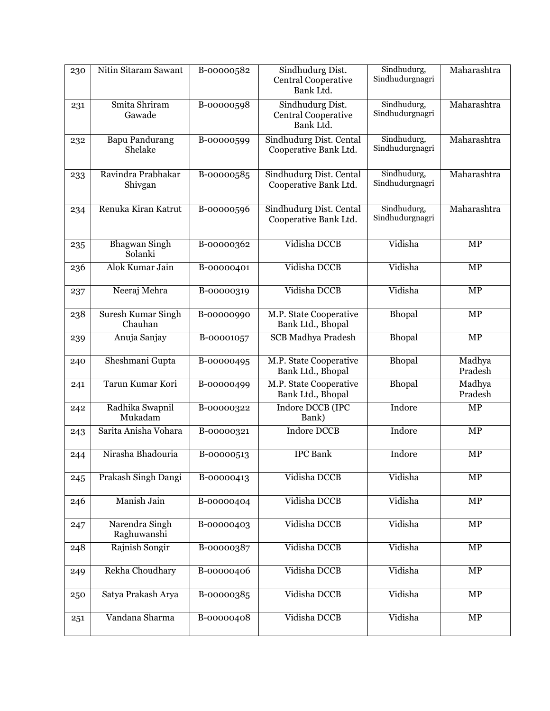| 230 | Nitin Sitaram Sawant                 | B-00000582 | Sindhudurg Dist.<br>Central Cooperative<br>Bank Ltd.        | Sindhudurg,<br>Sindhudurgnagri | Maharashtra       |
|-----|--------------------------------------|------------|-------------------------------------------------------------|--------------------------------|-------------------|
| 231 | Smita Shriram<br>Gawade              | B-00000598 | Sindhudurg Dist.<br><b>Central Cooperative</b><br>Bank Ltd. | Sindhudurg,<br>Sindhudurgnagri | Maharashtra       |
| 232 | <b>Bapu Pandurang</b><br>Shelake     | B-00000599 | Sindhudurg Dist. Cental<br>Cooperative Bank Ltd.            | Sindhudurg,<br>Sindhudurgnagri | Maharashtra       |
| 233 | Ravindra Prabhakar<br>Shivgan        | B-00000585 | Sindhudurg Dist. Cental<br>Cooperative Bank Ltd.            | Sindhudurg,<br>Sindhudurgnagri | Maharashtra       |
| 234 | Renuka Kiran Katrut                  | B-00000596 | Sindhudurg Dist. Cental<br>Cooperative Bank Ltd.            | Sindhudurg,<br>Sindhudurgnagri | Maharashtra       |
| 235 | <b>Bhagwan Singh</b><br>Solanki      | B-00000362 | Vidisha DCCB                                                | Vidisha                        | $\overline{MP}$   |
| 236 | Alok Kumar Jain                      | B-00000401 | Vidisha DCCB                                                | Vidisha                        | $\overline{MP}$   |
| 237 | Neeraj Mehra                         | B-00000319 | Vidisha DCCB                                                | Vidisha                        | MP                |
| 238 | <b>Suresh Kumar Singh</b><br>Chauhan | B-00000990 | M.P. State Cooperative<br>Bank Ltd., Bhopal                 | Bhopal                         | MP                |
| 239 | Anuja Sanjay                         | B-00001057 | <b>SCB Madhya Pradesh</b>                                   | Bhopal                         | $\overline{MP}$   |
| 240 | Sheshmani Gupta                      | B-00000495 | M.P. State Cooperative<br>Bank Ltd., Bhopal                 | <b>Bhopal</b>                  | Madhya<br>Pradesh |
| 241 | Tarun Kumar Kori                     | B-00000499 | M.P. State Cooperative<br>Bank Ltd., Bhopal                 | Bhopal                         | Madhya<br>Pradesh |
| 242 | Radhika Swapnil<br>Mukadam           | B-00000322 | Indore DCCB (IPC<br>Bank)                                   | Indore                         | $\overline{MP}$   |
| 243 | Sarita Anisha Vohara                 | B-00000321 | <b>Indore DCCB</b>                                          | Indore                         | MP                |
| 244 | Nirasha Bhadouria                    | B-00000513 | <b>IPC</b> Bank                                             | Indore                         | MP                |
| 245 | Prakash Singh Dangi                  | B-00000413 | Vidisha DCCB                                                | Vidisha                        | $\overline{MP}$   |
| 246 | Manish Jain                          | B-00000404 | Vidisha DCCB                                                | Vidisha                        | MP                |
| 247 | Narendra Singh<br>Raghuwanshi        | B-00000403 | Vidisha DCCB                                                | Vidisha                        | MP                |
| 248 | Rajnish Songir                       | B-00000387 | Vidisha DCCB                                                | Vidisha                        | $\overline{MP}$   |
| 249 | Rekha Choudhary                      | B-00000406 | Vidisha DCCB                                                | Vidisha                        | MP                |
| 250 | Satya Prakash Arya                   | B-00000385 | Vidisha DCCB                                                | Vidisha                        | $\overline{MP}$   |
| 251 | Vandana Sharma                       | B-00000408 | Vidisha DCCB                                                | Vidisha                        | $\overline{MP}$   |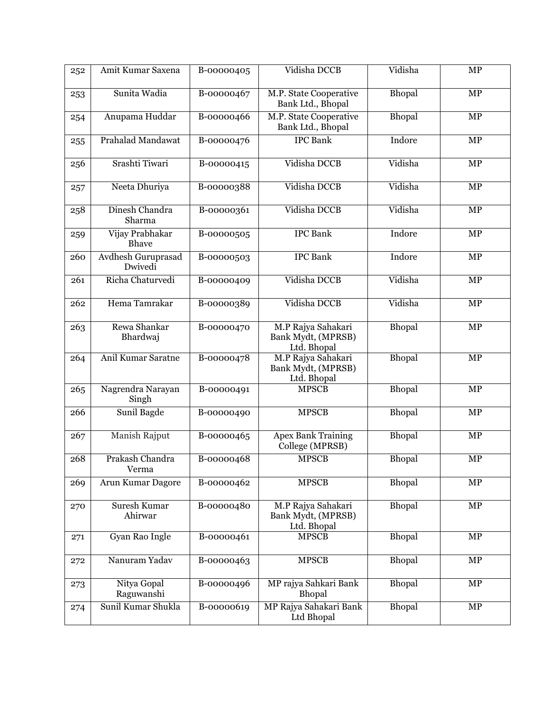| 252 | Amit Kumar Saxena              | B-00000405 | Vidisha DCCB                                            | Vidisha       | MP              |
|-----|--------------------------------|------------|---------------------------------------------------------|---------------|-----------------|
| 253 | Sunita Wadia                   | B-00000467 | M.P. State Cooperative<br>Bank Ltd., Bhopal             | Bhopal        | MP              |
| 254 | Anupama Huddar                 | B-00000466 | M.P. State Cooperative<br>Bank Ltd., Bhopal             | Bhopal        | <b>MP</b>       |
| 255 | Prahalad Mandawat              | B-00000476 | <b>IPC</b> Bank                                         | Indore        | MP              |
| 256 | Srashti Tiwari                 | B-00000415 | Vidisha DCCB                                            | Vidisha       | MP              |
| 257 | Neeta Dhuriya                  | B-00000388 | Vidisha DCCB                                            | Vidisha       | <b>MP</b>       |
| 258 | Dinesh Chandra<br>Sharma       | B-00000361 | Vidisha DCCB                                            | Vidisha       | MP              |
| 259 | Vijay Prabhakar<br>Bhave       | B-00000505 | <b>IPC</b> Bank                                         | Indore        | MP              |
| 260 | Avdhesh Guruprasad<br>Dwivedi  | B-00000503 | <b>IPC</b> Bank                                         | Indore        | MP              |
| 261 | Richa Chaturvedi               | B-00000409 | Vidisha DCCB                                            | Vidisha       | MP              |
| 262 | Hema Tamrakar                  | B-00000389 | Vidisha DCCB                                            | Vidisha       | MP              |
| 263 | Rewa Shankar<br>Bhardwaj       | B-00000470 | M.P Rajya Sahakari<br>Bank Mydt, (MPRSB)<br>Ltd. Bhopal | Bhopal        | <b>MP</b>       |
| 264 | Anil Kumar Saratne             | B-00000478 | M.P Rajya Sahakari<br>Bank Mydt, (MPRSB)<br>Ltd. Bhopal | Bhopal        | $\overline{MP}$ |
| 265 | Nagrendra Narayan<br>Singh     | B-00000491 | <b>MPSCB</b>                                            | Bhopal        | MP              |
| 266 | Sunil Bagde                    | B-00000490 | <b>MPSCB</b>                                            | Bhopal        | MP              |
| 267 | Manish Rajput                  | B-00000465 | <b>Apex Bank Training</b><br>College (MPRSB)            | Bhopal        | MP              |
| 268 | Prakash Chandra<br>Verma       | B-00000468 | <b>MPSCB</b>                                            | Bhopal        | MP              |
| 269 | Arun Kumar Dagore              | B-00000462 | <b>MPSCB</b>                                            | Bhopal        | <b>MP</b>       |
| 270 | <b>Suresh Kumar</b><br>Ahirwar | B-00000480 | M.P Rajya Sahakari<br>Bank Mydt, (MPRSB)<br>Ltd. Bhopal | Bhopal        | $\overline{MP}$ |
| 271 | Gyan Rao Ingle                 | B-00000461 | <b>MPSCB</b>                                            | Bhopal        | MP              |
| 272 | Nanuram Yadav                  | B-00000463 | <b>MPSCB</b>                                            | <b>Bhopal</b> | MP              |
| 273 | Nitya Gopal<br>Raguwanshi      | B-00000496 | MP rajya Sahkari Bank<br>Bhopal                         | Bhopal        | MP              |
| 274 | Sunil Kumar Shukla             | B-00000619 | MP Rajya Sahakari Bank<br>Ltd Bhopal                    | Bhopal        | MP              |